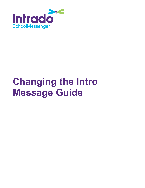

# **Changing the Intro Message Guide**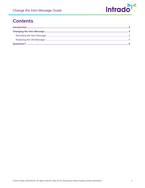

# **Contents**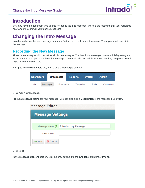

# <span id="page-2-0"></span>**Introduction**

You may have the need from time to time to change the intro message, which is the first thing that your recipients hear when they answer your phone broadcast.

# <span id="page-2-1"></span>**Changing the Intro Message**

In order to change the intro message, you must first record a replacement message. Then, you must select it in the settings.

## <span id="page-2-2"></span>**Recording the New Message**

These intro messages will play before all phone messages. The best intro messages contain a brief greeting and instructs the user to press **1** to hear the message. You should also let recipients know that they can press **pound (#)** to place the call on hold.

Navigate to the **Broadcasts** tab, then click the **Messages** sub-tab.

| <b>Dashboard</b> |          | <b>Broadcasts</b> | <b>Reports</b> |           | <b>System</b> | <b>Admin</b> |
|------------------|----------|-------------------|----------------|-----------|---------------|--------------|
| ists             | Messages | <b>Broadcasts</b> |                | Templates | Posts         | Classroom    |

#### Click **Add New Message**.

Fill out a **Message Name** for your message. You can also add a **Description** of the message if you wish.

| Message Editor                 |                             |  |  |  |  |
|--------------------------------|-----------------------------|--|--|--|--|
| <b>Message Settings</b>        |                             |  |  |  |  |
|                                |                             |  |  |  |  |
| Message Name @                 | <b>Introductory Message</b> |  |  |  |  |
| Description                    |                             |  |  |  |  |
| $\Rightarrow$ Next<br>X Cancel |                             |  |  |  |  |

#### Click **Next**.

In the **Message Content** section, click the grey box next to the **English** option under **Phone**.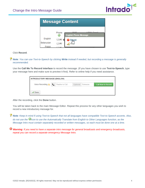

| <b>Message Content</b> |            |                                      |  |  |  |  |
|------------------------|------------|--------------------------------------|--|--|--|--|
|                        | Phone<br>Ŧ | 0.10<br><b>English Phone Message</b> |  |  |  |  |
| English                |            |                                      |  |  |  |  |
| <b>Belarusian</b>      |            |                                      |  |  |  |  |
| Polish                 |            |                                      |  |  |  |  |

Click **Record**.

*Note: You can use Text-to-Speech by clicking Write instead if needed, but recording a message is generally recommended.*

Use the **Call Me To Record interface** to record the message. (If you have chosen to use **Text-to-Speech**, type your message here and make sure to preview it first). Refer to online help if you need assistance.

| <b>INTRODUCTORY MESSAGE (ENGLISH)</b> |  |                |  |                     |                    |  |  |
|---------------------------------------|--|----------------|--|---------------------|--------------------|--|--|
| Voice Recording $\triangle \subset$   |  | Number to Call |  | Optional: Extension | Call Now to Record |  |  |
| Done                                  |  |                |  |                     |                    |  |  |

After the recording, click the **Done** button.

You will be taken back to the main Message Editor. Repeat this process for any other languages you wish to record a new introductory message for.

*Note: Keep in mind if using Text-to-Speech that not all languages have compatible Text-to-Speech accents. Also, do not use the icon to use the Automatically Translate from English to Other Languages function, as the Message Intro must contain separately recorded or written messages, so each must be done one at a time.*

*Warning: If you need to have a separate intro message for general broadcasts and emergency broadcasts, repeat you can record a separate emergency Message Intro.*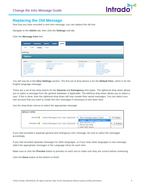

### <span id="page-4-0"></span>**Replacing the Old Message**

Now that you have recorded a new intro message, you can replace the old one.

Navigate to the **Admin** tab, then click the **Settings** sub-tab.

Click the **Message Intro** link.

| <b>Dashboard</b><br><b>Broadcasts</b>                                                                                                                                                              | <b>Reports</b><br><b>Admin</b><br><b>System</b>                                        |                                            |                                                                                                                                   |
|----------------------------------------------------------------------------------------------------------------------------------------------------------------------------------------------------|----------------------------------------------------------------------------------------|--------------------------------------------|-----------------------------------------------------------------------------------------------------------------------------------|
| Settings<br>Profiles<br><b>Users</b>                                                                                                                                                               | Imports                                                                                |                                            |                                                                                                                                   |
| Settings                                                                                                                                                                                           |                                                                                        |                                            |                                                                                                                                   |
| <b>Options</b>                                                                                                                                                                                     |                                                                                        |                                            |                                                                                                                                   |
|                                                                                                                                                                                                    |                                                                                        |                                            |                                                                                                                                   |
| System                                                                                                                                                                                             | <b>Broadcast</b>                                                                       | <b>Destination Labels</b>                  | <b>Features</b>                                                                                                                   |
|                                                                                                                                                                                                    | <b>Enable/Disable Repeating Broadcasts</b><br><b>Broadcast Settings</b>                | <b>Phone Labels</b><br><b>Email Labels</b> | <b>SchoolMessenger Settings</b><br><b>Teacher Messaging</b>                                                                       |
| <b>Systemwide Alert Message</b><br><b>Customer Settings</b><br><b>Field Definitions</b><br><b>Extended Field Definitions</b><br><b>Group Field Definitions</b><br><b>Section Field Definitions</b> | <b>Broadcast Types</b><br>$\underbrace{\textsf{Message} \textsf{ntro}}_{\textsf{top}}$ | <b>SMS Labels</b>                          | <b>Subscriber Settings</b><br><b>Subscriber Fields</b><br><b>Classroom Message Manager</b><br><b>Classroom Messaging Template</b> |

You will now be in the **Intro Settings** section. The first set of drop-downs is for the **Default Intro**, which is for the English language message.

There are a set of two drop-downs for the **General** and **Emergency** Intro types. The rightmost drop-down allows you to select a message from the general database, if applicable. The leftmost drop-down allows you to select a user. If this is done, then the rightmost drop-down will now contain their saved messages. You can select your own account that you used to create the intro messages if necessary to see them here.

Use the drop-down menus to select the appropriate message.

| <b>DEFAULT INTRO</b> |                                        |                                                                                         |                |
|----------------------|----------------------------------------|-----------------------------------------------------------------------------------------|----------------|
| General <b>O</b>     | Select Messages From User (Optional) v | More message steps (Copy)                                                               | <b>Preview</b> |
| $E$ mergency         | Select Messages From User (Optional) ▶ | English - System Gen yal Intro<br>New Spanish Intro<br>Phone and SMS<br>Feed With Audio | Preview        |

If you had recorded a separate general and emergency intro message, be sure to select the messages accordingly.

If you had recorded separate messages for other languages, or if you have other languages in one message, select the appropriate messages in the Language Intros for each intro.

Make sure to click the **Preview** button to preview on each one to make sure they are correct before continuing.

Click the **Done** button at the bottom to finish.